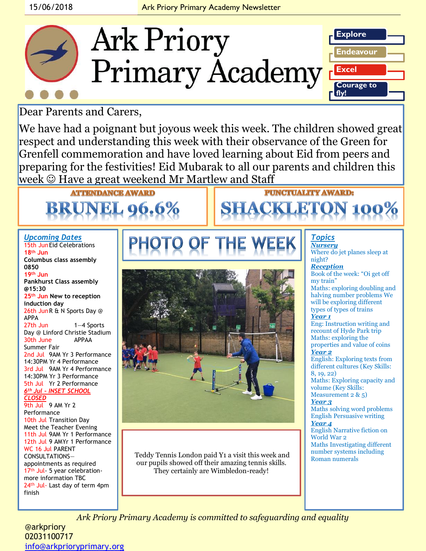

Dear Parents and Carers,

We have had a poignant but joyous week this week. The children showed great respect and understanding this week with their observance of the Green for Grenfell commemoration and have loved learning about Eid from peers and preparing for the festivities! Eid Mubarak to all our parents and children this week © Have a great weekend Mr Martlew and Staff

# **ATTENDANCE AWARD BRUNEL 96.6%**

### *Upcoming Dates*

15th JunEid Celebrations **18th Jun Columbus class assembly 0850 19th Jun Pankhurst Class assembly @15:30 25th Jun New to reception induction day** 26th JunR & N Sports Day @ APPA 27th Jun 1—4 Sports Day @ Linford Christie Stadium<br>30th June 6 APPAA 30th June Summer Fair 2nd Jul 9AM Yr 3 Performance 14:30PM Yr 4 Performance 3rd Jul 9AM Yr 4 Performance 14:30PM Yr 3 Performance 5th Jul Yr 2 Performance *6th Jul – INSET SCHOOL CLOSED*  9th Jul 9 AM Yr 2 Performance 10th Jul Transition Day Meet the Teacher Evening 11th Jul 9AM Yr 1 Performance 12th Jul 9 AMYr 1 Performance WC 16 Jul PARENT CONSULTATIONS appointments as required 17<sup>th</sup> Jul- 5 year celebrationmore information TBC 24<sup>th</sup> Jul- Last day of term 4pm



Teddy Tennis London paid Y1 a visit this week and Roman numerals our pupils showed off their amazing tennis skills. They certainly are Wimbledon-ready!

#### *Topics Nursery*

**PUNCTUALITY AWARD:** 

**SHACKLETON 100%** 

Where do jet planes sleep at night?

*Reception*  Book of the week: "Oi get off my train"

Maths: exploring doubling and halving number problems We will be exploring different types of types of trains

### *Year 1*

Eng: Instruction writing and recount of Hyde Park trip Maths: exploring the properties and value of coins *Year 2* English: Exploring texts from

different cultures (Key Skills: 8, 19, 22)

Maths: Exploring capacity and volume (Key Skills: Measurement 2 & 5)

### *Year 3*

Maths solving word problems English Persuasive writing *Year 4*

English Narrative fiction on World War 2 Maths Investigating different number systems including

*Ark Priory Primary Academy is committed to safeguarding and equality* 

@arkpriory 02031100717 [info@arkprioryprimary.org](mailto:info@arkprioryprimary.org) 

finish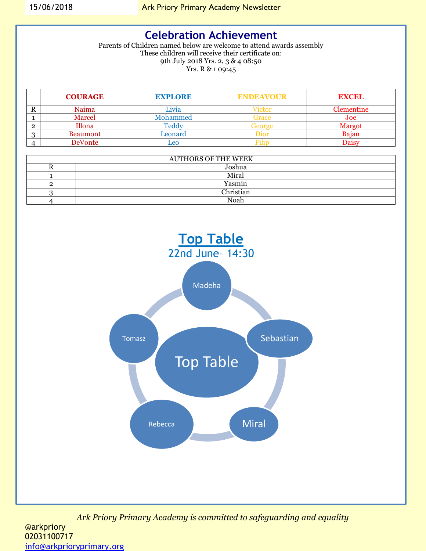## **Celebration Achievement**

Parents of Children named below are welcome to attend awards assembly These children will receive their certificate on: 9th July 2018 Yrs. 2, 3 & 4 08:50 Yrs. R & 1 09:45

| <b>COURAGE</b>  | <b>EXPLORE</b> | <b>ENDEAVOUR</b> | <b>EXCEL</b> |
|-----------------|----------------|------------------|--------------|
| Naima           | Livia          | ⊭1ctor           | Clementine   |
| Marcel          | Mohammed       | <b>Frace</b>     | Joe          |
| Illona          | Feddv          | ÷ΑΩιαε           | Margot       |
| <b>Beaumont</b> | Leonard        | mor              | Bajan        |
| DeVonte         | eo             | 'ilir            |              |

| <b>AUTHORS OF THE WEEK</b> |           |  |  |  |
|----------------------------|-----------|--|--|--|
|                            | Joshua    |  |  |  |
|                            | Miral     |  |  |  |
|                            | Yasmin    |  |  |  |
|                            | Christian |  |  |  |
|                            | Noah      |  |  |  |

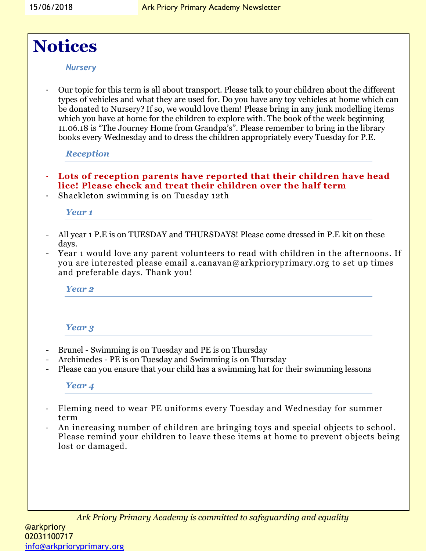# **Notices**

### *Nursery*

- Our topic for this term is all about transport. Please talk to your children about the different types of vehicles and what they are used for. Do you have any toy vehicles at home which can be donated to Nursery? If so, we would love them! Please bring in any junk modelling items which you have at home for the children to explore with. The book of the week beginning 11.06.18 is "The Journey Home from Grandpa's". Please remember to bring in the library books every Wednesday and to dress the children appropriately every Tuesday for P.E.

### *Reception*

- **Lots of reception parents have reported that their children have head lice! Please check and treat their children over the half term**
- Shackleton swimming is on Tuesday 12th

### *Year 1*

- All year 1 P.E is on TUESDAY and THURSDAYS! Please come dressed in P.E kit on these days.
- Year 1 would love any parent volunteers to read with children in the afternoons. If you are interested please email a.canavan@arkprioryprimary.org to set up times and preferable days. Thank you!

*Year 2* 

### *Year 3*

- Brunel Swimming is on Tuesday and PE is on Thursday
- Archimedes PE is on Tuesday and Swimming is on Thursday
- Please can you ensure that your child has a swimming hat for their swimming lessons

### *Year 4*

- Fleming need to wear PE uniforms every Tuesday and Wednesday for summer term
- An increasing number of children are bringing toys and special objects to school. Please remind your children to leave these items at home to prevent objects being lost or damaged.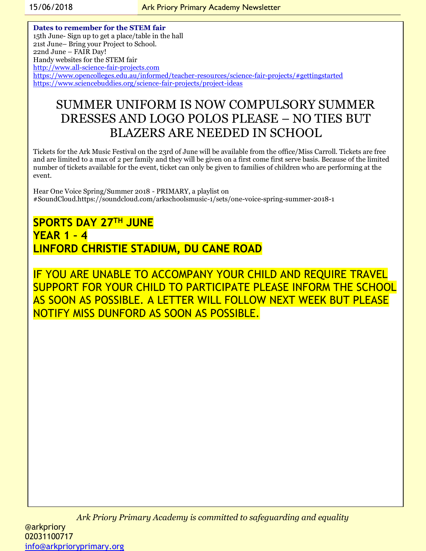**Dates to remember for the STEM fair** 15th June- Sign up to get a place/table in the hall 21st June– Bring your Project to School. 22nd June – FAIR Day! Handy websites for the STEM fair [http://www.all-science-fair-projects.com](http://www.all-science-fair-projects.com/) <https://www.opencolleges.edu.au/informed/teacher-resources/science-fair-projects/#gettingstarted> <https://www.sciencebuddies.org/science-fair-projects/project-ideas>

# SUMMER UNIFORM IS NOW COMPULSORY SUMMER DRESSES AND LOGO POLOS PLEASE – NO TIES BUT BLAZERS ARE NEEDED IN SCHOOL

Tickets for the Ark Music Festival on the 23rd of June will be available from the office/Miss Carroll. Tickets are free and are limited to a max of 2 per family and they will be given on a first come first serve basis. Because of the limited number of tickets available for the event, ticket can only be given to families of children who are performing at the event.

Hear One Voice Spring/Summer 2018 - PRIMARY, a playlist on #SoundCloud.https://soundcloud.com/arkschoolsmusic-1/sets/one-voice-spring-summer-2018-1

**SPORTS DAY 27TH JUNE YEAR 1 – 4 LINFORD CHRISTIE STADIUM, DU CANE ROAD**

IF YOU ARE UNABLE TO ACCOMPANY YOUR CHILD AND REQUIRE TRAVEL SUPPORT FOR YOUR CHILD TO PARTICIPATE PLEASE INFORM THE SCHOOL AS SOON AS POSSIBLE. A LETTER WILL FOLLOW NEXT WEEK BUT PLEASE NOTIFY MISS DUNFORD AS SOON AS POSSIBLE.